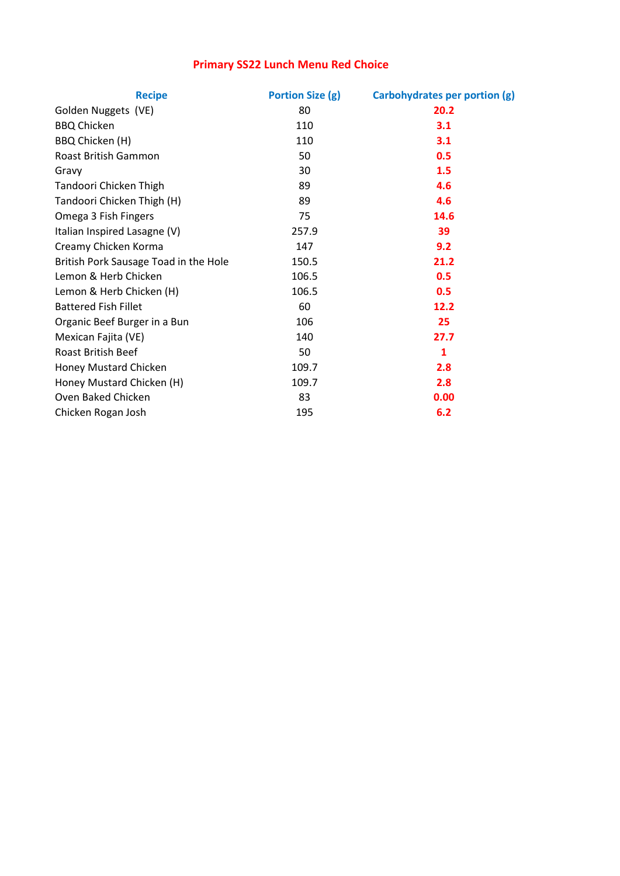## Primary SS22 Lunch Menu Red Choice

| <b>Recipe</b>                         | <b>Portion Size (g)</b> | Carbohydrates per portion (g) |
|---------------------------------------|-------------------------|-------------------------------|
| Golden Nuggets (VE)                   | 80                      | 20.2                          |
| <b>BBQ Chicken</b>                    | 110                     | 3.1                           |
| BBQ Chicken (H)                       | 110                     | 3.1                           |
| Roast British Gammon                  | 50                      | 0.5                           |
| Gravy                                 | 30                      | 1.5                           |
| Tandoori Chicken Thigh                | 89                      | 4.6                           |
| Tandoori Chicken Thigh (H)            | 89                      | 4.6                           |
| Omega 3 Fish Fingers                  | 75                      | 14.6                          |
| Italian Inspired Lasagne (V)          | 257.9                   | 39                            |
| Creamy Chicken Korma                  | 147                     | 9.2                           |
| British Pork Sausage Toad in the Hole | 150.5                   | 21.2                          |
| Lemon & Herb Chicken                  | 106.5                   | 0.5                           |
| Lemon & Herb Chicken (H)              | 106.5                   | 0.5                           |
| <b>Battered Fish Fillet</b>           | 60                      | 12.2                          |
| Organic Beef Burger in a Bun          | 106                     | 25                            |
| Mexican Fajita (VE)                   | 140                     | 27.7                          |
| <b>Roast British Beef</b>             | 50                      | 1                             |
| Honey Mustard Chicken                 | 109.7                   | 2.8                           |
| Honey Mustard Chicken (H)             | 109.7                   | 2.8                           |
| Oven Baked Chicken                    | 83                      | 0.00                          |
| Chicken Rogan Josh                    | 195                     | 6.2                           |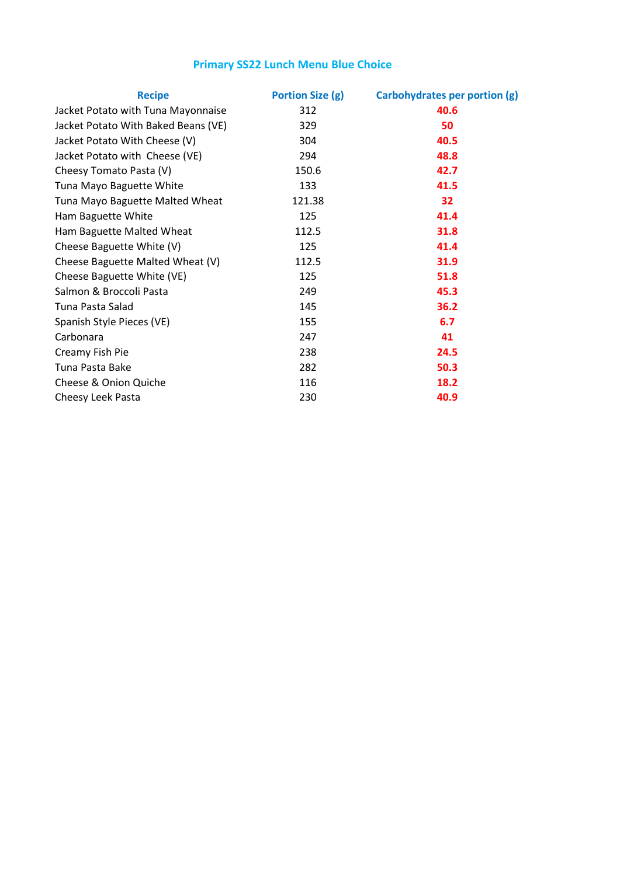## Primary SS22 Lunch Menu Blue Choice

| <b>Recipe</b>                       | <b>Portion Size (g)</b> | Carbohydrates per portion (g) |
|-------------------------------------|-------------------------|-------------------------------|
| Jacket Potato with Tuna Mayonnaise  | 312                     | 40.6                          |
| Jacket Potato With Baked Beans (VE) | 329                     | 50                            |
| Jacket Potato With Cheese (V)       | 304                     | 40.5                          |
| Jacket Potato with Cheese (VE)      | 294                     | 48.8                          |
| Cheesy Tomato Pasta (V)             | 150.6                   | 42.7                          |
| Tuna Mayo Baguette White            | 133                     | 41.5                          |
| Tuna Mayo Baguette Malted Wheat     | 121.38                  | 32                            |
| Ham Baguette White                  | 125                     | 41.4                          |
| Ham Baguette Malted Wheat           | 112.5                   | 31.8                          |
| Cheese Baguette White (V)           | 125                     | 41.4                          |
| Cheese Baguette Malted Wheat (V)    | 112.5                   | 31.9                          |
| Cheese Baguette White (VE)          | 125                     | 51.8                          |
| Salmon & Broccoli Pasta             | 249                     | 45.3                          |
| Tuna Pasta Salad                    | 145                     | 36.2                          |
| Spanish Style Pieces (VE)           | 155                     | 6.7                           |
| Carbonara                           | 247                     | 41                            |
| Creamy Fish Pie                     | 238                     | 24.5                          |
| Tuna Pasta Bake                     | 282                     | 50.3                          |
| Cheese & Onion Quiche               | 116                     | 18.2                          |
| Cheesy Leek Pasta                   | 230                     | 40.9                          |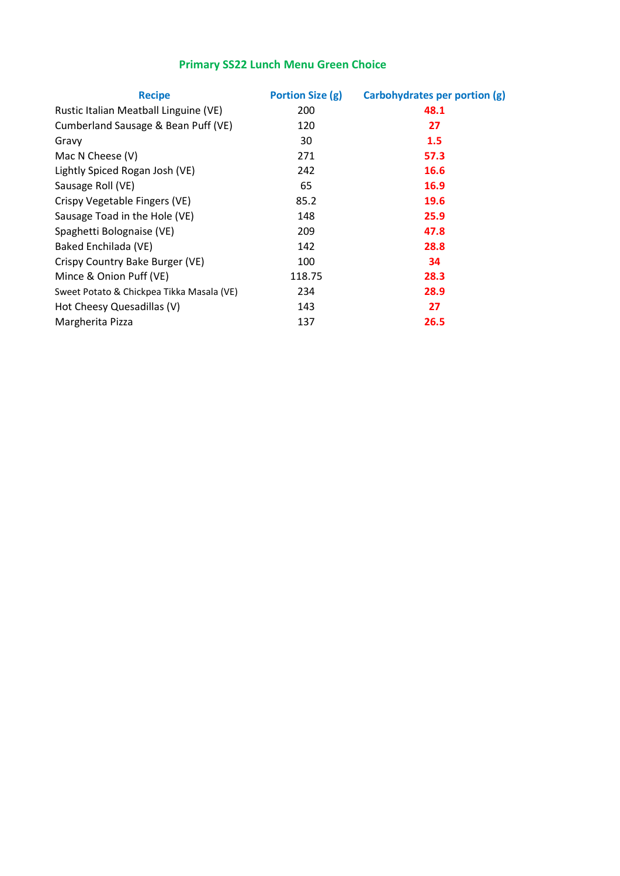### Primary SS22 Lunch Menu Green Choice

| <b>Recipe</b>                             | Portion Size (g) | Carbohydrates per portion (g) |
|-------------------------------------------|------------------|-------------------------------|
| Rustic Italian Meatball Linguine (VE)     | 200              | 48.1                          |
| Cumberland Sausage & Bean Puff (VE)       | 120              | 27                            |
| Gravy                                     | 30               | 1.5                           |
| Mac N Cheese (V)                          | 271              | 57.3                          |
| Lightly Spiced Rogan Josh (VE)            | 242              | 16.6                          |
| Sausage Roll (VE)                         | 65               | 16.9                          |
| Crispy Vegetable Fingers (VE)             | 85.2             | 19.6                          |
| Sausage Toad in the Hole (VE)             | 148              | 25.9                          |
| Spaghetti Bolognaise (VE)                 | 209              | 47.8                          |
| Baked Enchilada (VE)                      | 142              | 28.8                          |
| Crispy Country Bake Burger (VE)           | 100              | 34                            |
| Mince & Onion Puff (VE)                   | 118.75           | 28.3                          |
| Sweet Potato & Chickpea Tikka Masala (VE) | 234              | 28.9                          |
| Hot Cheesy Quesadillas (V)                | 143              | 27                            |
| Margherita Pizza                          | 137              | 26.5                          |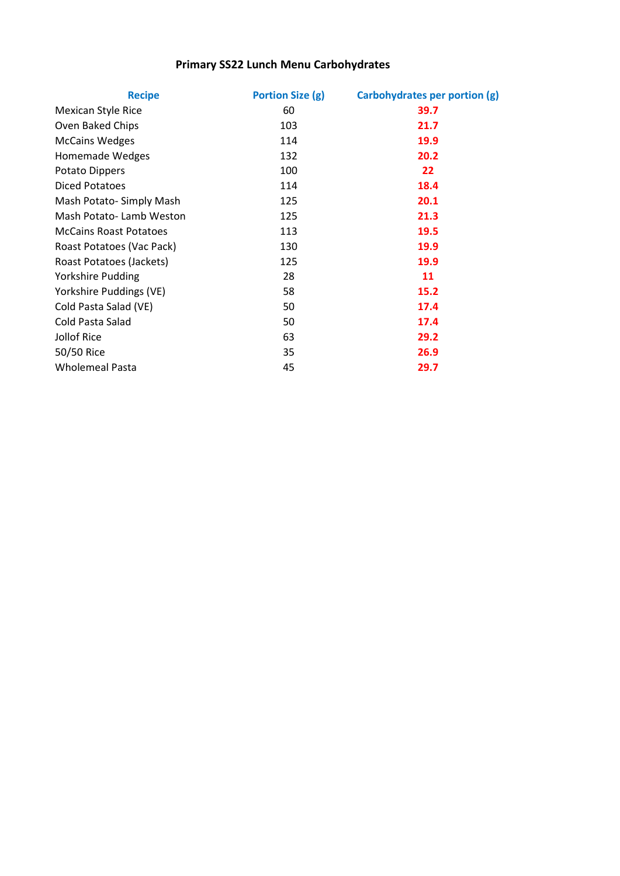### Primary SS22 Lunch Menu Carbohydrates

| <b>Recipe</b>                 | Portion Size (g) | Carbohydrates per portion (g) |
|-------------------------------|------------------|-------------------------------|
| <b>Mexican Style Rice</b>     | 60               | 39.7                          |
| Oven Baked Chips              | 103              | 21.7                          |
| <b>McCains Wedges</b>         | 114              | 19.9                          |
| Homemade Wedges               | 132              | 20.2                          |
| Potato Dippers                | 100              | 22                            |
| Diced Potatoes                | 114              | 18.4                          |
| Mash Potato-Simply Mash       | 125              | 20.1                          |
| Mash Potato-Lamb Weston       | 125              | 21.3                          |
| <b>McCains Roast Potatoes</b> | 113              | 19.5                          |
| Roast Potatoes (Vac Pack)     | 130              | <b>19.9</b>                   |
| Roast Potatoes (Jackets)      | 125              | 19.9                          |
| Yorkshire Pudding             | 28               | 11                            |
| Yorkshire Puddings (VE)       | 58               | 15.2                          |
| Cold Pasta Salad (VE)         | 50               | 17.4                          |
| Cold Pasta Salad              | 50               | 17.4                          |
| Jollof Rice                   | 63               | 29.2                          |
| 50/50 Rice                    | 35               | 26.9                          |
| <b>Wholemeal Pasta</b>        | 45               | 29.7                          |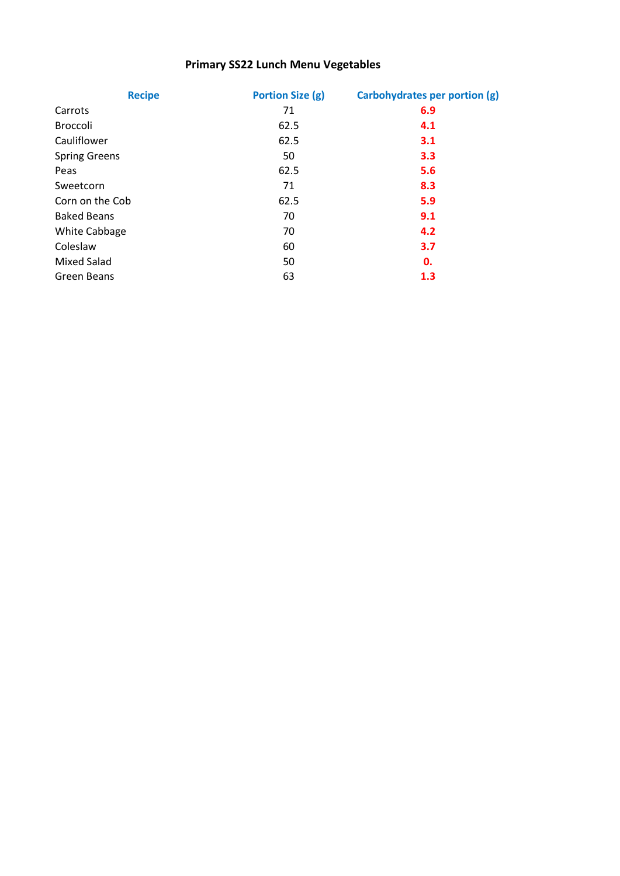### Primary SS22 Lunch Menu Vegetables

| <b>Recipe</b>        | <b>Portion Size (g)</b> | <b>Carbohydrates per portion (g)</b> |
|----------------------|-------------------------|--------------------------------------|
| Carrots              | 71                      | 6.9                                  |
| <b>Broccoli</b>      | 62.5                    | 4.1                                  |
| Cauliflower          | 62.5                    | 3.1                                  |
| <b>Spring Greens</b> | 50                      | 3.3                                  |
| Peas                 | 62.5                    | 5.6                                  |
| Sweetcorn            | 71                      | 8.3                                  |
| Corn on the Cob      | 62.5                    | 5.9                                  |
| <b>Baked Beans</b>   | 70                      | 9.1                                  |
| White Cabbage        | 70                      | 4.2                                  |
| Coleslaw             | 60                      | 3.7                                  |
| <b>Mixed Salad</b>   | 50                      | 0.                                   |
| Green Beans          | 63                      | 1.3                                  |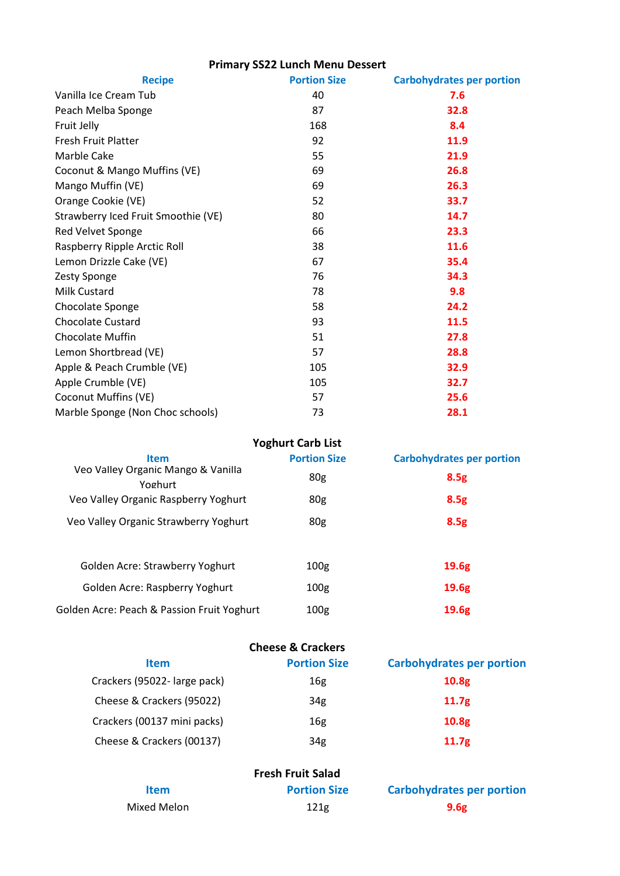# Primary SS22 Lunch Menu Dessert

| <b>Recipe</b>                       | <b>Portion Size</b> | <b>Carbohydrates per portion</b> |
|-------------------------------------|---------------------|----------------------------------|
| Vanilla Ice Cream Tub               | 40                  | 7.6                              |
| Peach Melba Sponge                  | 87                  | 32.8                             |
| Fruit Jelly                         | 168                 | 8.4                              |
| Fresh Fruit Platter                 | 92                  | 11.9                             |
| Marble Cake                         | 55                  | 21.9                             |
| Coconut & Mango Muffins (VE)        | 69                  | 26.8                             |
| Mango Muffin (VE)                   | 69                  | 26.3                             |
| Orange Cookie (VE)                  | 52                  | 33.7                             |
| Strawberry Iced Fruit Smoothie (VE) | 80                  | 14.7                             |
| Red Velvet Sponge                   | 66                  | 23.3                             |
| Raspberry Ripple Arctic Roll        | 38                  | 11.6                             |
| Lemon Drizzle Cake (VE)             | 67                  | 35.4                             |
| Zesty Sponge                        | 76                  | 34.3                             |
| <b>Milk Custard</b>                 | 78                  | 9.8                              |
| Chocolate Sponge                    | 58                  | 24.2                             |
| <b>Chocolate Custard</b>            | 93                  | 11.5                             |
| Chocolate Muffin                    | 51                  | 27.8                             |
| Lemon Shortbread (VE)               | 57                  | 28.8                             |
| Apple & Peach Crumble (VE)          | 105                 | 32.9                             |
| Apple Crumble (VE)                  | 105                 | 32.7                             |
| <b>Coconut Muffins (VE)</b>         | 57                  | 25.6                             |
| Marble Sponge (Non Choc schools)    | 73                  | 28.1                             |

|                                               | <b>Yoghurt Carb List</b> |                                  |
|-----------------------------------------------|--------------------------|----------------------------------|
| <b>Item</b>                                   | <b>Portion Size</b>      | <b>Carbohydrates per portion</b> |
| Veo Valley Organic Mango & Vanilla<br>Yoghurt | 80 <sub>g</sub>          | 8.5g                             |
| Veo Valley Organic Raspberry Yoghurt          | 80 <sub>g</sub>          | 8.5g                             |
| Veo Valley Organic Strawberry Yoghurt         | 80 <sub>g</sub>          | 8.5g                             |
| Golden Acre: Strawberry Yoghurt               | 100 <sub>g</sub>         | 19.6g                            |
| Golden Acre: Raspberry Yoghurt                | 100 <sub>g</sub>         | 19.6 <sub>g</sub>                |
| Golden Acre: Peach & Passion Fruit Yoghurt    | 100 <sub>g</sub>         | 19.6 <sub>g</sub>                |

| <b>Cheese &amp; Crackers</b> |                     |                                  |
|------------------------------|---------------------|----------------------------------|
| <b>Item</b>                  | <b>Portion Size</b> | <b>Carbohydrates per portion</b> |
| Crackers (95022- large pack) | 16g                 | 10.8 <sub>g</sub>                |
| Cheese & Crackers (95022)    | 34 <sub>g</sub>     | 11.7 <sub>g</sub>                |
| Crackers (00137 mini packs)  | 16g                 | 10.8 <sub>g</sub>                |
| Cheese & Crackers (00137)    | 34g                 | 11.7 <sub>g</sub>                |

| <b>Fresh Fruit Salad</b> |                     |                                  |
|--------------------------|---------------------|----------------------------------|
| <b>Item</b>              | <b>Portion Size</b> | <b>Carbohydrates per portion</b> |
| Mixed Melon              | 121 <sub>g</sub>    | 9.6g                             |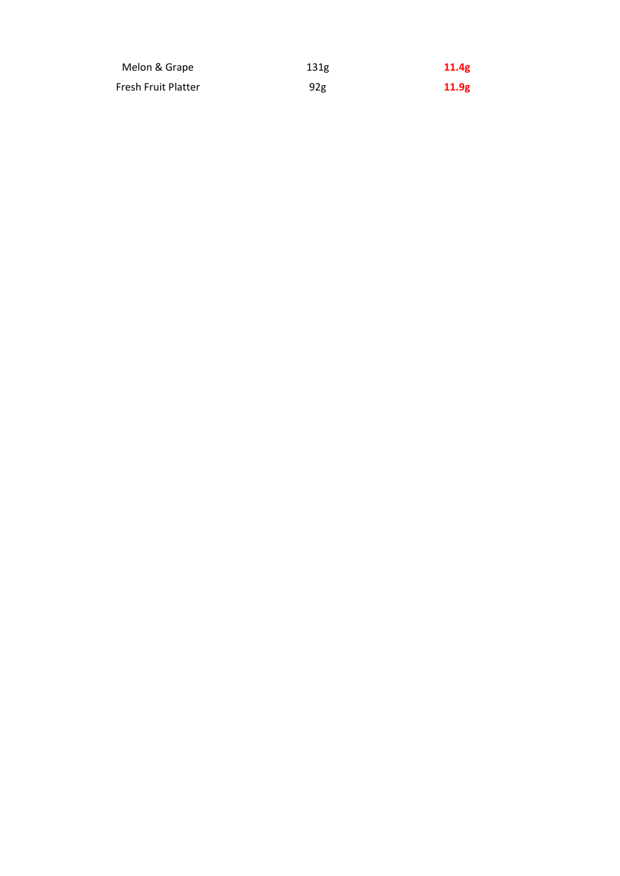| Melon & Grape       | 131 <sub>g</sub> | 11.4g |
|---------------------|------------------|-------|
| Fresh Fruit Platter | 92 <sub>g</sub>  | 11.9g |